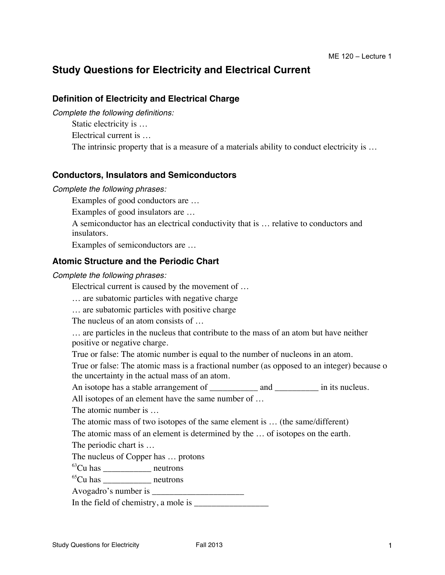# **Study Questions for Electricity and Electrical Current**

# **Definition of Electricity and Electrical Charge**

*Complete the following definitions:*

Static electricity is …

Electrical current is …

The intrinsic property that is a measure of a materials ability to conduct electricity is ...

### **Conductors, Insulators and Semiconductors**

*Complete the following phrases:*

Examples of good conductors are …

Examples of good insulators are …

A semiconductor has an electrical conductivity that is … relative to conductors and insulators.

Examples of semiconductors are …

#### **Atomic Structure and the Periodic Chart**

*Complete the following phrases:*

Electrical current is caused by the movement of …

… are subatomic particles with negative charge

… are subatomic particles with positive charge

The nucleus of an atom consists of ...

… are particles in the nucleus that contribute to the mass of an atom but have neither positive or negative charge.

True or false: The atomic number is equal to the number of nucleons in an atom.

True or false: The atomic mass is a fractional number (as opposed to an integer) because o the uncertainty in the actual mass of an atom.

An isotope has a stable arrangement of \_\_\_\_\_\_\_\_\_\_\_ and \_\_\_\_\_\_\_\_\_\_ in its nucleus.

All isotopes of an element have the same number of …

The atomic number is …

The atomic mass of two isotopes of the same element is … (the same/different)

The atomic mass of an element is determined by the … of isotopes on the earth.

The periodic chart is …

The nucleus of Copper has … protons

63Cu has \_\_\_\_\_\_\_\_\_\_\_ neutrons

 $^{65}$ Cu has \_\_\_\_\_\_\_\_\_\_\_\_\_\_\_\_\_\_\_\_\_ neutrons

Avogadro's number is \_\_\_\_\_\_\_\_\_\_\_\_\_\_\_\_\_\_\_\_\_

In the field of chemistry, a mole is \_\_\_\_\_\_\_\_\_\_\_\_\_\_\_\_\_